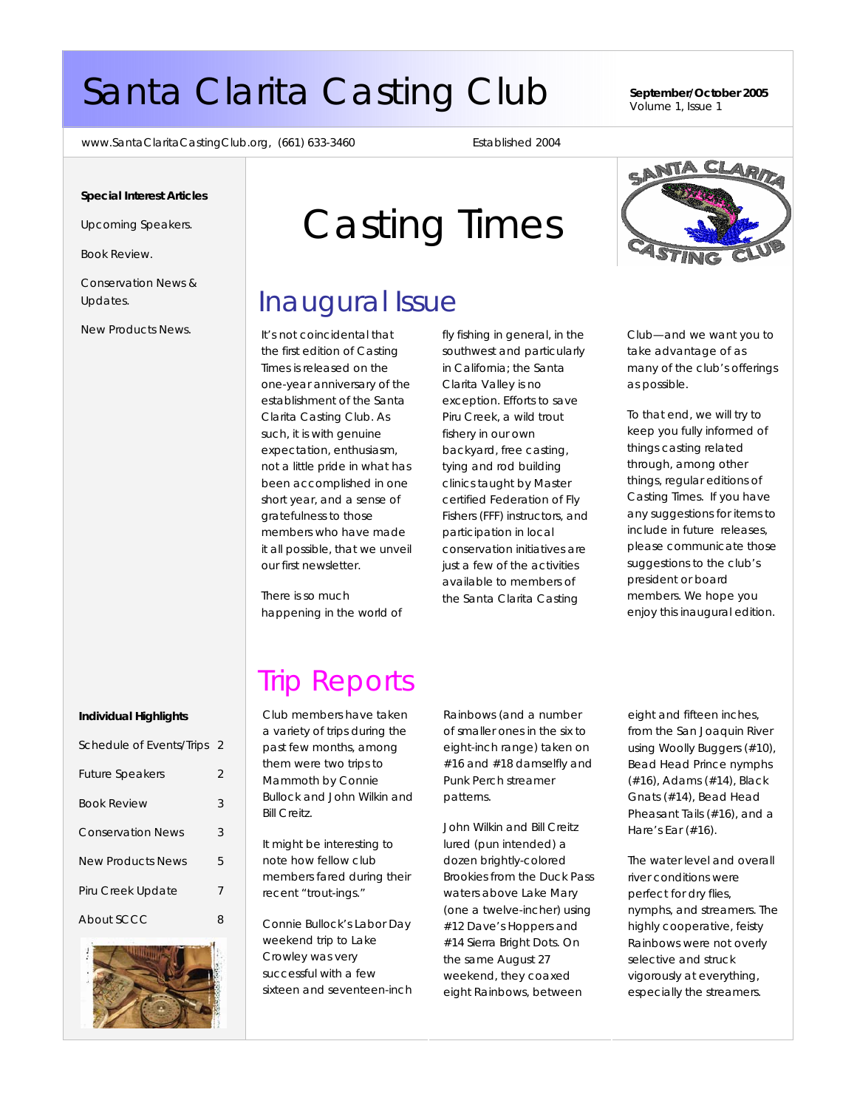# Santa Clarita Casting Club **September/October 2005**

Volume 1, Issue 1

www.SantaClaritaCastingClub.org, (661) 633-3460 Established 2004

#### **Special Interest Articles**

Upcoming Speakers.

Book Review.

Conservation News & Updates.

New Products News.

# Casting Times

### Inaugural Issue

It's not coincidental that the first edition of Casting Times is released on the one-year anniversary of the establishment of the Santa Clarita Casting Club. As such, it is with genuine expectation, enthusiasm, not a little pride in what has been accomplished in one short year, and a sense of gratefulness to those members who have made it all possible, that we unveil our first newsletter.

There is so much happening in the world of fly fishing in general, in the southwest and particularly in California; the Santa Clarita Valley is no exception. Efforts to save Piru Creek, a wild trout fishery in our own backyard, free casting, tying and rod building clinics taught by Master certified Federation of Fly Fishers (FFF) instructors, and participation in local conservation initiatives are just a few of the activities available to members of the Santa Clarita Casting



Club—and we want you to take advantage of as many of the club's offerings as possible.

To that end, we will try to keep you fully informed of things casting related through, among other things, regular editions of Casting Times. If you have any suggestions for items to include in future releases, please communicate those suggestions to the club's president or board members. We hope you enjoy this inaugural edition.

# Trip Reports

Club members have taken a variety of trips during the past few months, among them were two trips to Mammoth by Connie Bullock and John Wilkin and Bill Creitz.

It might be interesting to note how fellow club members fared during their recent "trout-ings."

Connie Bullock's Labor Day weekend trip to Lake Crowley was very successful with a few sixteen and seventeen-inch Rainbows (and a number of smaller ones in the six to eight-inch range) taken on #16 and #18 damselfly and Punk Perch streamer patterns.

John Wilkin and Bill Creitz lured (pun intended) a dozen brightly-colored Brookies from the Duck Pass waters above Lake Mary (one a twelve-incher) using #12 Dave's Hoppers and #14 Sierra Bright Dots. On the same August 27 weekend, they coaxed eight Rainbows, between

eight and fifteen inches, from the San Joaquin River using Woolly Buggers (#10), Bead Head Prince nymphs (#16), Adams (#14), Black Gnats (#14), Bead Head Pheasant Tails (#16), and a Hare's Ear (#16).

The water level and overall river conditions were perfect for dry flies, nymphs, and streamers. The highly cooperative, feisty Rainbows were not overly selective and struck vigorously at everything, especially the streamers.

#### **Individual Highlights**

| Schedule of Events/Trips 2 |   |
|----------------------------|---|
| <b>Future Speakers</b>     | 2 |
| <b>Book Review</b>         | 3 |
| <b>Conservation News</b>   | 3 |
| <b>New Products News</b>   | 5 |
| Piru Creek Update          | 7 |
| About SCCC                 | Զ |

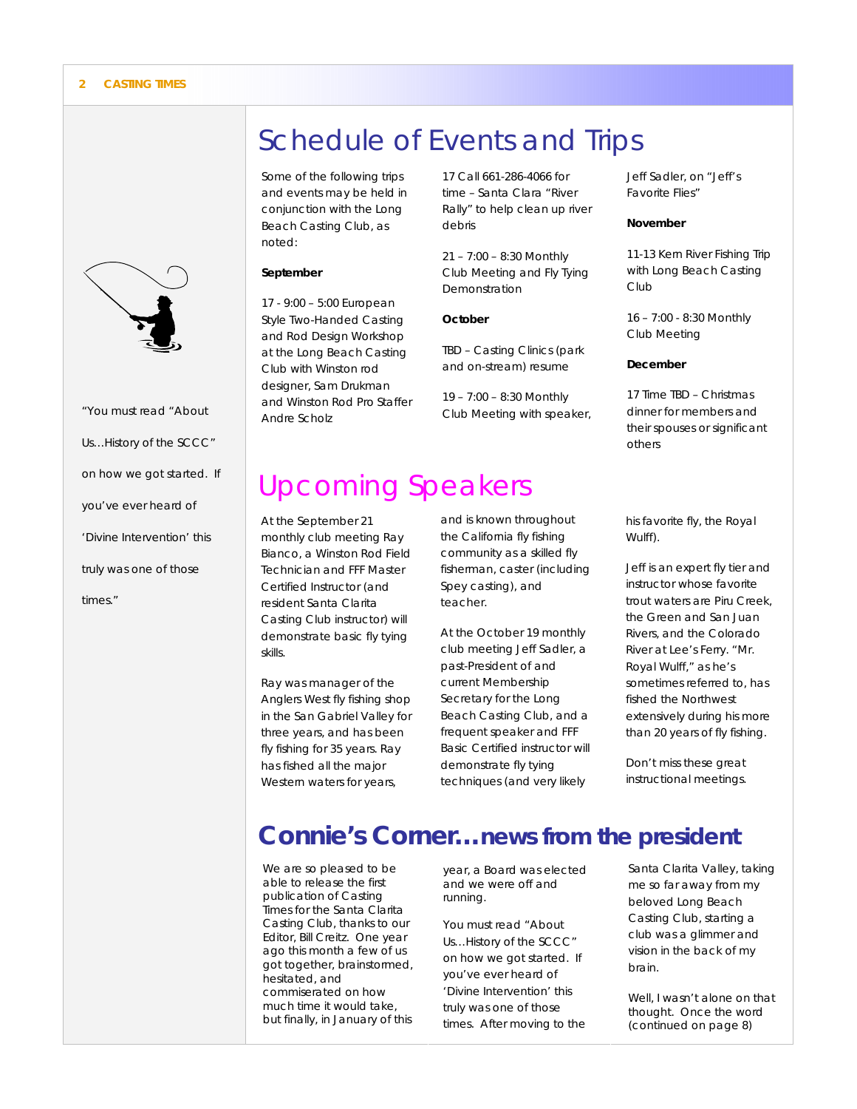

*"You must read "About Us…History of the SCCC" on how we got started. If you've ever heard of*  'Divine Intervention' *this truly was one of those times."* 

## Schedule of Events and Trips

Some of the following trips and events may be held in conjunction with the Long Beach Casting Club, as noted:

#### **September**

17 - 9:00 – 5:00 European Style Two-Handed Casting and Rod Design Workshop at the Long Beach Casting Club with Winston rod designer, Sam Drukman and Winston Rod Pro Staffer Andre Scholz

17 Call 661-286-4066 for time – Santa Clara "River Rally" to help clean up river debris

21 – 7:00 – 8:30 Monthly Club Meeting and Fly Tying Demonstration

#### **October**

TBD – Casting Clinics (park and on-stream) resume

19 – 7:00 – 8:30 Monthly Club Meeting with speaker,

# Upcoming Speakers

At the September 21 monthly club meeting Ray Bianco, a Winston Rod Field Technician and FFF Master Certified Instructor (and resident Santa Clarita Casting Club instructor) will demonstrate basic fly tying skills.

Ray was manager of the Anglers West fly fishing shop in the San Gabriel Valley for three years, and has been fly fishing for 35 years. Ray has fished all the major Western waters for years,

and is known throughout the California fly fishing community as a skilled fly fisherman, caster (including Spey casting), and teacher.

At the October 19 monthly club meeting Jeff Sadler, a past-President of and current Membership Secretary for the Long Beach Casting Club, and a frequent speaker and FFF Basic Certified instructor will demonstrate fly tying techniques (and very likely

Jeff Sadler, on "Jeff's Favorite Flies"

#### **November**

11-13 Kern River Fishing Trip with Long Beach Casting Club

16 – 7:00 - 8:30 Monthly Club Meeting

#### **December**

17 Time TBD – Christmas dinner for members and their spouses or significant others

his favorite fly, the Royal Wulff).

Jeff is an expert fly tier and instructor whose favorite trout waters are Piru Creek, the Green and San Juan Rivers, and the Colorado River at Lee's Ferry. "Mr. Royal Wulff," as he's sometimes referred to, has fished the Northwest extensively during his more than 20 years of fly fishing.

Don't miss these great instructional meetings.

### **Connie's Corner…news from the president**

We are so pleased to be able to release the first publication of Casting Times for the Santa Clarita Casting Club, thanks to our Editor, Bill Creitz. One year ago this month a few of us got together, brainstormed, hesitated, and commiserated on how much time it would take, but finally, in January of this

year, a Board was elected and we were off and running.

You must read "About Us…History of the SCCC" on how we got started. If you've ever heard of *'Divine Intervention'* this truly was one of those times. After moving to the Santa Clarita Valley, taking me so far away from my beloved Long Beach Casting Club, starting a club was a glimmer and vision in the back of my brain.

Well, I wasn't alone on that thought. Once the word (continued on page 8)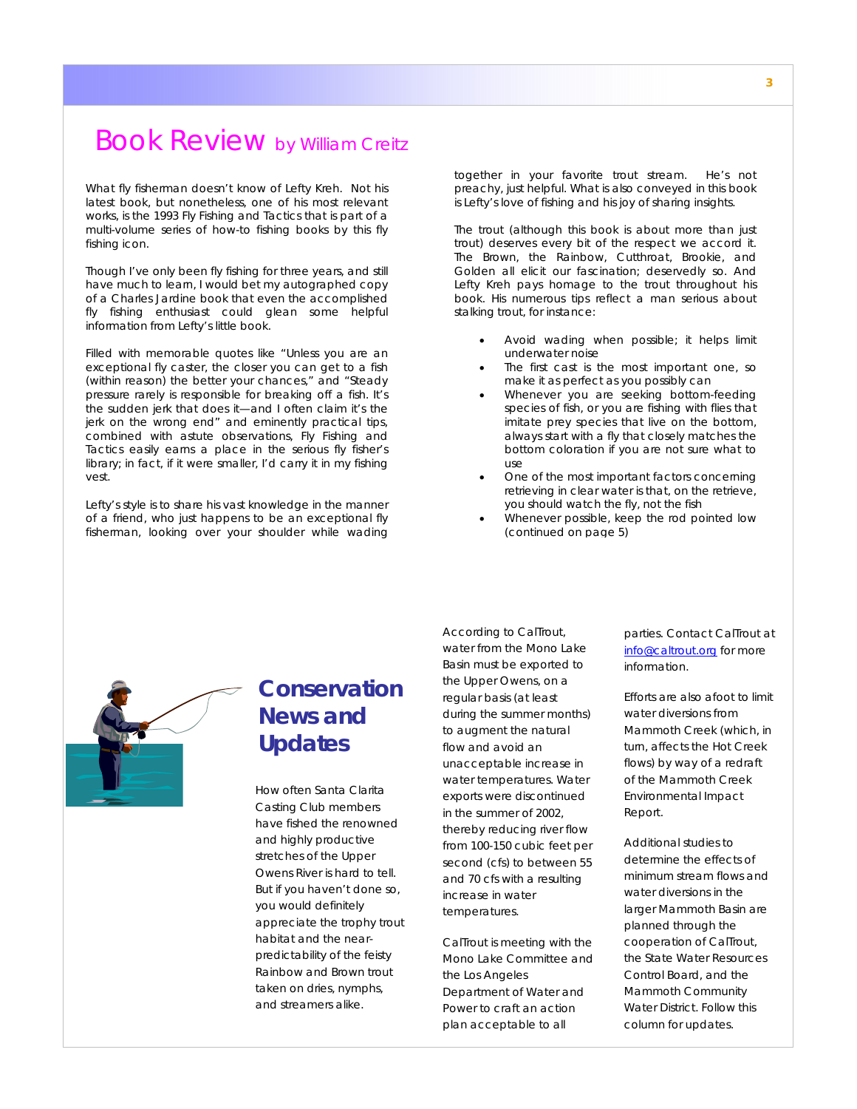### Book Review by William Creitz

What fly fisherman doesn't know of Lefty Kreh. Not his latest book, but nonetheless, one of his most relevant works, is the 1993 *Fly Fishing and Tactics* that is part of a multi-volume series of how-to fishing books by this fly fishing icon.

Though I've only been fly fishing for three years, and still have much to learn, I would bet my autographed copy of a Charles Jardine book that even the accomplished fly fishing enthusiast could glean some helpful information from Lefty's little book.

Filled with memorable quotes like "Unless you are an exceptional fly caster, the closer you can get to a fish (within reason) the better your chances," and "Steady pressure rarely is responsible for breaking off a fish. It's the sudden jerk that does it—and I often claim it's the jerk on the wrong end" and eminently practical tips, combined with astute observations, *Fly Fishing and Tactics* easily earns a place in the serious fly fisher's library; in fact, if it were smaller, I'd carry it in my fishing vest.

Lefty's style is to share his vast knowledge in the manner of a friend, who just happens to be an exceptional fly fisherman, looking over your shoulder while wading together in your favorite trout stream. He's not preachy, just helpful. What is also conveyed in this book is Lefty's love of fishing and his joy of sharing insights.

The trout (although this book is about more than just trout) deserves every bit of the respect we accord it. The Brown, the Rainbow, Cutthroat, Brookie, and Golden all elicit our fascination; deservedly so. And Lefty Kreh pays homage to the trout throughout his book. His numerous tips reflect a man serious about stalking trout, for instance:

- Avoid wading when possible; it helps limit underwater noise
- The first cast is the most important one, so make it as perfect as you possibly can
- Whenever you are seeking bottom-feeding species of fish, or you are fishing with flies that imitate prey species that live on the bottom, always start with a fly that closely matches the bottom coloration if you are not sure what to use
- One of the most important factors concerning retrieving in clear water is that, on the retrieve, you should watch the fly, not the fish
- Whenever possible, keep the rod pointed low *(continued on page 5)*



### **Conservation News and Updates**

How often Santa Clarita Casting Club members have fished the renowned and highly productive stretches of the Upper Owens River is hard to tell. But if you haven't done so, you would definitely appreciate the trophy trout habitat and the nearpredictability of the feisty Rainbow and Brown trout taken on dries, nymphs, and streamers alike.

According to CalTrout, water from the Mono Lake Basin must be exported to the Upper Owens, on a regular basis (at least during the summer months) to augment the natural flow and avoid an unacceptable increase in water temperatures. Water exports were discontinued in the summer of 2002, thereby reducing river flow from 100-150 cubic feet per second (cfs) to between 55 and 70 cfs with a resulting increase in water temperatures.

CalTrout is meeting with the Mono Lake Committee and the Los Angeles Department of Water and Power to craft an action plan acceptable to all

parties. Contact CalTrout at info@caltrout.org for more information.

Efforts are also afoot to limit water diversions from Mammoth Creek (which, in turn, affects the Hot Creek flows) by way of a redraft of the Mammoth Creek Environmental Impact Report.

Additional studies to determine the effects of minimum stream flows and water diversions in the larger Mammoth Basin are planned through the cooperation of CalTrout, the State Water Resources Control Board, and the Mammoth Community Water District. Follow this column for updates.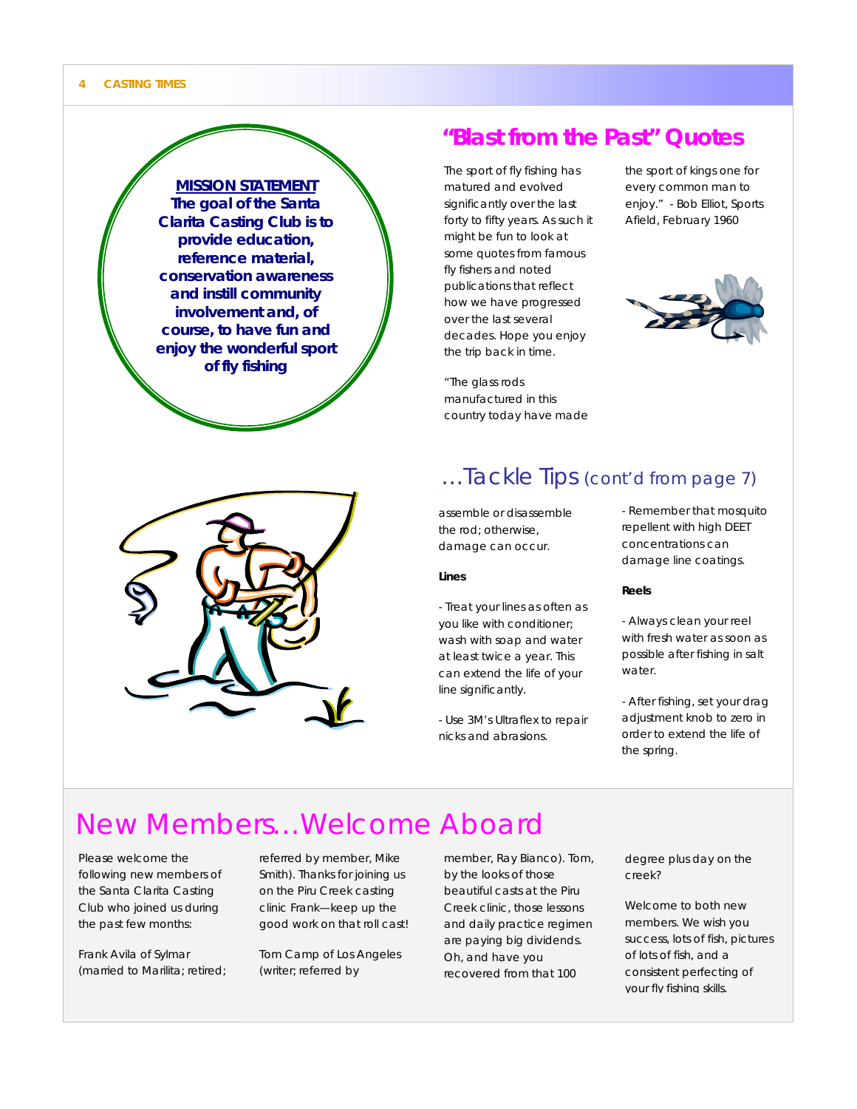

### **"Blast from the Past" Quotes**

The sport of fly fishing has matured and evolved significantly over the last forty to fifty years. As such it might be fun to look at some quotes from famous fly fishers and noted publications that reflect how we have progressed over the last several decades. Hope you enjoy the trip back in time.

"The glass rods manufactured in this country today have made the sport of kings one for every common man to enjoy." - Bob Elliot, Sports Afield, February 1960





### …Tackle Tips (cont'd from page 7)

assemble or disassemble the rod; otherwise, damage can occur.

#### **Lines**

- Treat your lines as often as you like with conditioner; wash with soap and water at least twice a year. This can extend the life of your line significantly.

- Use 3M's Ultraflex to repair nicks and abrasions.

- Remember that mosquito repellent with high DEET concentrations can damage line coatings.

#### **Reels**

- Always clean your reel with fresh water as soon as possible after fishing in salt water.
- After fishing, set your drag adjustment knob to zero in order to extend the life of the spring.

### New Members…Welcome Aboard

Please welcome the following new members of the Santa Clarita Casting Club who joined us during the past few months:

Frank Avila of Sylmar (married to Marilita; retired; referred by member, Mike Smith). Thanks for joining us on the Piru Creek casting clinic Frank—keep up the good work on that roll cast!

Tom Camp of Los Angeles (writer; referred by

member, Ray Bianco). Tom, by the looks of those beautiful casts at the Piru Creek clinic, those lessons and daily practice regimen are paying big dividends. Oh, and have you recovered from that 100

degree plus day on the creek?

Welcome to both new members. We wish you success, lots of fish, pictures of lots of fish, and a consistent perfecting of your fly fishing skills.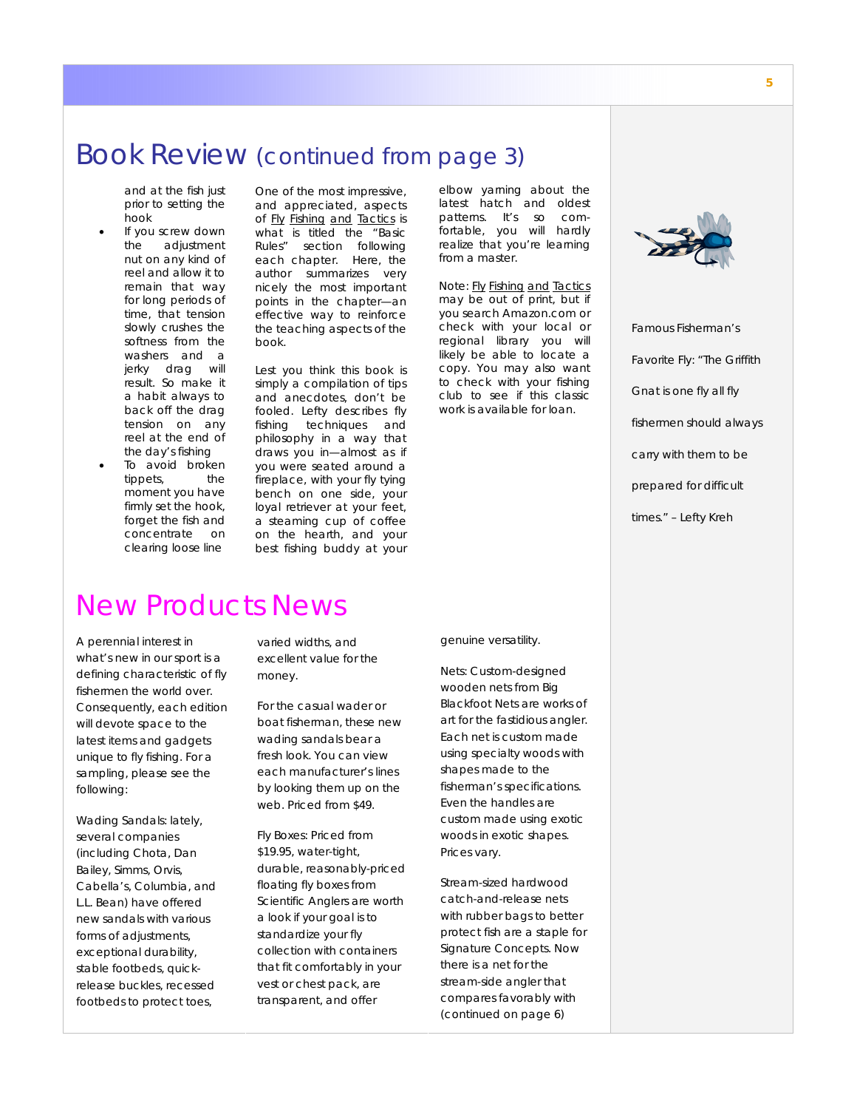### Book Review (continued from page 3)

and at the fish just prior to setting the hook

- If you screw down the adjustment nut on any kind of reel and allow it to remain that way for long periods of time, that tension slowly crushes the softness from the washers and a jerky drag will result. So make it a habit always to back off the drag tension on any reel at the end of the day's fishing
- To avoid broken tippets, the moment you have firmly set the hook, forget the fish and concentrate on clearing loose line

One of the most impressive, and appreciated, aspects of Fly Fishing and Tactics is what is titled the "Basic Rules" section following each chapter. Here, the author summarizes very nicely the most important points in the chapter—an effective way to reinforce the teaching aspects of the book.

Lest you think this book is simply a compilation of tips and anecdotes, don't be fooled. Lefty describes fly fishing techniques and philosophy in a way that draws you in—almost as if you were seated around a fireplace, with your fly tying bench on one side, your loyal retriever at your feet, a steaming cup of coffee on the hearth, and your best fishing buddy at your

#### elbow yarning about the latest hatch and oldest patterns. It's so comfortable, you will hardly realize that you're learning from a master.

Note: Fly Fishing and Tactics may be out of print, but if you search Amazon.com or check with your local or regional library you will likely be able to locate a copy. You may also want to check with your fishing club to see if this classic work is available for loan.



*Famous Fisherman's Favorite Fly: "The Griffith Gnat is one fly all fly fishermen should always carry with them to be prepared for difficult times." – Lefty Kreh* 

### New Products News

A perennial interest in what's new in our sport is a defining characteristic of fly fishermen the world over. Consequently, each edition will devote space to the latest items and gadgets unique to fly fishing. For a sampling, please see the following:

Wading Sandals: lately, several companies (including Chota, Dan Bailey, Simms, Orvis, Cabella's, Columbia, and L.L. Bean) have offered new sandals with various forms of adjustments, exceptional durability, stable footbeds, quickrelease buckles, recessed footbeds to protect toes,

varied widths, and excellent value for the money.

For the casual wader or boat fisherman, these new wading sandals bear a fresh look. You can view each manufacturer's lines by looking them up on the web. Priced from \$49.

Fly Boxes: Priced from \$19.95, water-tight, durable, reasonably-priced floating fly boxes from Scientific Anglers are worth a look if your goal is to standardize your fly collection with containers that fit comfortably in your vest or chest pack, are transparent, and offer

genuine versatility.

Nets: Custom-designed wooden nets from Big Blackfoot Nets are works of art for the fastidious angler. Each net is custom made using specialty woods with shapes made to the fisherman's specifications. Even the handles are custom made using exotic woods in exotic shapes. Prices vary.

Stream-sized hardwood catch-and-release nets with rubber bags to better protect fish are a staple for Signature Concepts. Now there is a net for the stream-side angler that compares favorably with *(continued on page 6)*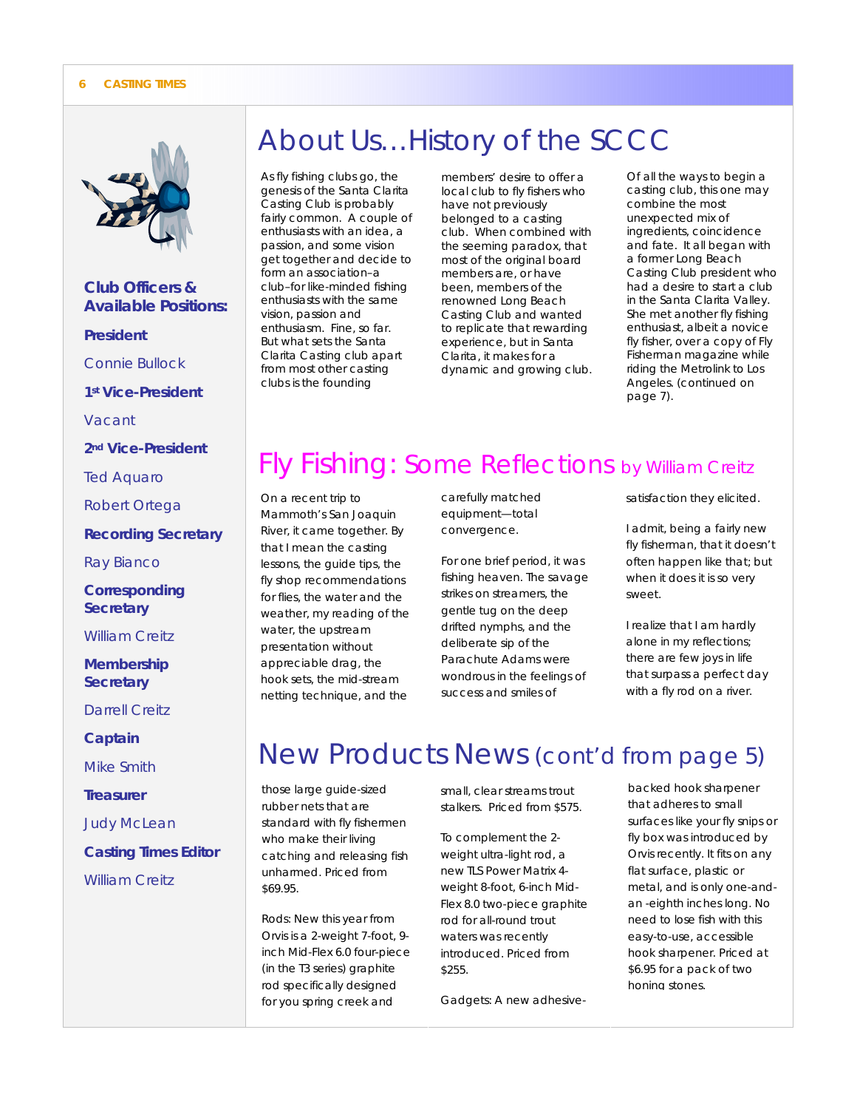

*Club Officers & Available Positions: President Connie Bullock 1st Vice-President Vacant 2nd Vice-President Ted Aquaro Robert Ortega Recording Secretary Ray Bianco Corresponding Secretary William Creitz Membership Secretary Darrell Creitz Captain Mike Smith Treasurer Judy McLean Casting Times Editor William Creitz* 

## About Us…History of the SCCC

As fly fishing clubs go, the genesis of the Santa Clarita Casting Club is probably fairly common. A couple of enthusiasts with an idea, a passion, and some vision get together and decide to form an association–a club–for like-minded fishing enthusiasts with the same vision, passion and enthusiasm. Fine, so far. But what sets the Santa Clarita Casting club apart from most other casting clubs is the founding

members' desire to offer a local club to fly fishers who have not previously belonged to a casting club. When combined with the seeming paradox, that most of the original board members are, or have been, members of the renowned Long Beach Casting Club and wanted to replicate that rewarding experience, but in Santa Clarita, it makes for a dynamic and growing club. Of all the ways to begin a casting club, this one may combine the most unexpected mix of ingredients, coincidence and fate. It all began with a former Long Beach Casting Club president who had a desire to start a club in the Santa Clarita Valley. She met another fly fishing enthusiast, albeit a novice fly fisher, over a copy of Fly Fisherman magazine while riding the Metrolink to Los Angeles. (continued on page 7).

# Fly Fishing: Some Reflections by William Creitz

On a recent trip to Mammoth's San Joaquin River, it came together. By that I mean the casting lessons, the guide tips, the fly shop recommendations for flies, the water and the weather, my reading of the water, the upstream presentation without appreciable drag, the hook sets, the mid-stream netting technique, and the

carefully matched equipment—total convergence.

For one brief period, it was fishing heaven. The savage strikes on streamers, the gentle tug on the deep drifted nymphs, and the deliberate sip of the Parachute Adams were wondrous in the feelings of success and smiles of

satisfaction they elicited.

I admit, being a fairly new fly fisherman, that it doesn't often happen like that; but when it does it is so very sweet.

I realize that I am hardly alone in my reflections; there are few joys in life that surpass a perfect day with a fly rod on a river.

# New Products News (cont'd from page 5)

those large guide-sized rubber nets that are standard with fly fishermen who make their living catching and releasing fish unharmed. Priced from \$69.95.

Rods: New this year from Orvis is a 2-weight 7-foot, 9 inch Mid-Flex 6.0 four-piece (in the T3 series) graphite rod specifically designed for you spring creek and

small, clear streams trout stalkers. Priced from \$575.

To complement the 2 weight ultra-light rod, a new TLS Power Matrix 4 weight 8-foot, 6-inch Mid-Flex 8.0 two-piece graphite rod for all-round trout waters was recently introduced. Priced from \$255.

Gadgets: A new adhesive-

backed hook sharpener that adheres to small surfaces like your fly snips or fly box was introduced by Orvis recently. It fits on any flat surface, plastic or metal, and is only one-andan -eighth inches long. No need to lose fish with this easy-to-use, accessible hook sharpener. Priced at \$6.95 for a pack of two honing stones.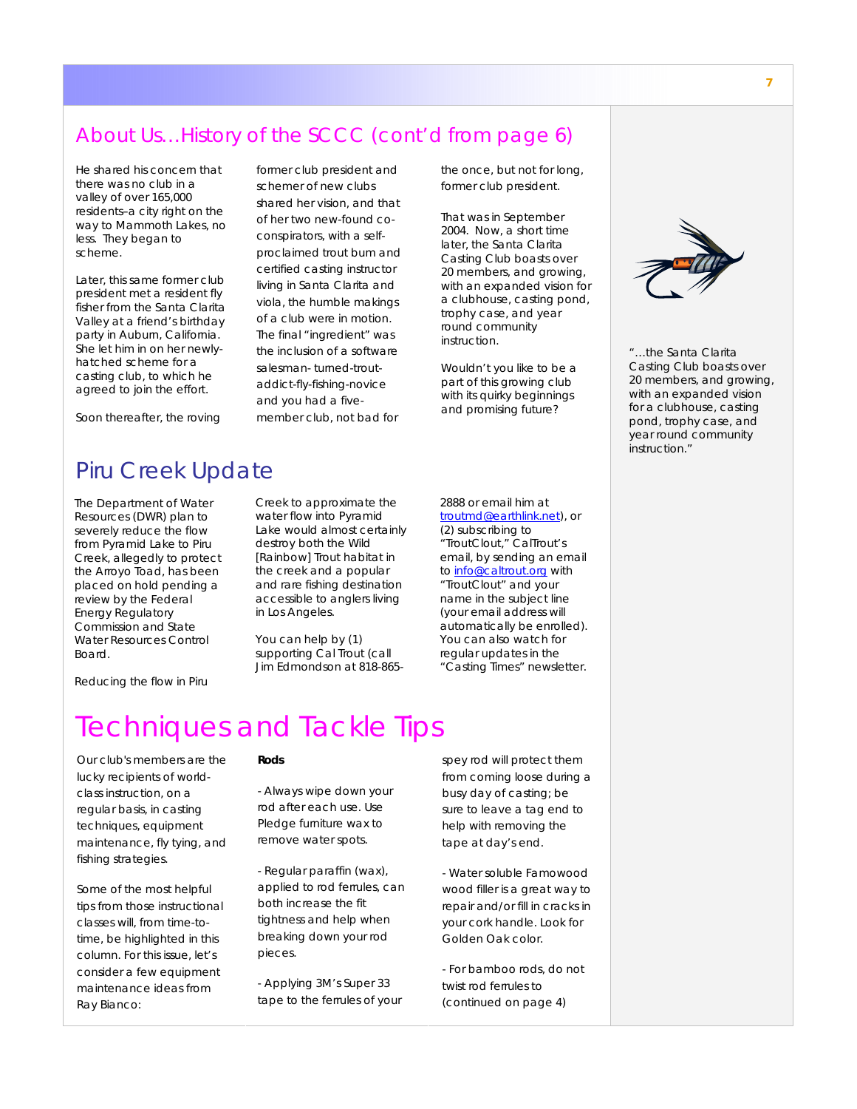### About Us…History of the SCCC (cont'd from page 6)

He shared his concern that there was no club in a valley of over 165,000 residents–a city right on the way to Mammoth Lakes, no less. They began to scheme.

Later, this same former club president met a resident fly fisher from the Santa Clarita Valley at a friend's birthday party in Auburn, California. She let him in on her newlyhatched scheme for a casting club, to which he agreed to join the effort.

Soon thereafter, the roving

former club president and schemer of new clubs shared her vision, and that of her two new-found coconspirators, with a selfproclaimed trout bum and certified casting instructor living in Santa Clarita and viola, the humble makings of a club were in motion. The final "ingredient" was the inclusion of a software salesman- turned-troutaddict-fly-fishing-novice and you had a fivemember club, not bad for

the once, but not for long, former club president.

That was in September 2004. Now, a short time later, the Santa Clarita Casting Club boasts over 20 members, and growing, with an expanded vision for a clubhouse, casting pond, trophy case, and year round community instruction.

Wouldn't you like to be a part of this growing club with its quirky beginnings and promising future?



*"…the Santa Clarita Casting Club boasts over 20 members, and growing, with an expanded vision for a clubhouse, casting pond, trophy case, and year round community instruction."* 

### Piru Creek Update

The Department of Water Resources (DWR) plan to severely reduce the flow from Pyramid Lake to Piru Creek, allegedly to protect the Arroyo Toad, has been placed on hold pending a review by the Federal Energy Regulatory Commission and State Water Resources Control Board.

Creek to approximate the water flow into Pyramid Lake would almost certainly destroy both the Wild [Rainbow] Trout habitat in the creek and a popular and rare fishing destination accessible to anglers living in Los Angeles.

You can help by (1) supporting Cal Trout (call Jim Edmondson at 818-8652888 or email him at troutmd@earthlink.net), or (2) subscribing to "TroutClout," CalTrout's email, by sending an email to **info@caltrout.org** with "TroutClout" and your name in the subject line (your email address will automatically be enrolled). You can also watch for regular updates in the "Casting Times" newsletter.

Reducing the flow in Piru

### Techniques and Tackle Tips

Our club's members are the lucky recipients of worldclass instruction, on a regular basis, in casting techniques, equipment maintenance, fly tying, and fishing strategies.

Some of the most helpful tips from those instructional classes will, from time-totime, be highlighted in this column. For this issue, let's consider a few equipment maintenance ideas from Ray Bianco:

### **Rods**

- Always wipe down your rod after each use. Use Pledge furniture wax to remove water spots.

- Regular paraffin (wax), applied to rod ferrules, can both increase the fit tightness and help when breaking down your rod pieces.

- Applying 3M's Super 33 tape to the ferrules of your spey rod will protect them from coming loose during a busy day of casting; be sure to leave a tag end to help with removing the tape at day's end.

- Water soluble Famowood wood filler is a great way to repair and/or fill in cracks in your cork handle. Look for Golden Oak color.

- For bamboo rods, do not twist rod ferrules to (continued on page 4)